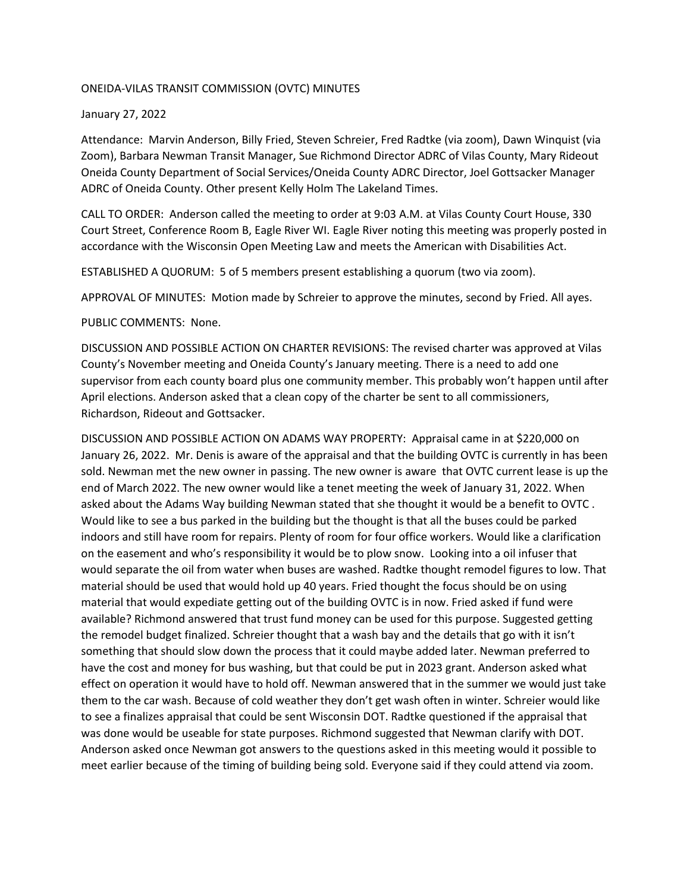## ONEIDA-VILAS TRANSIT COMMISSION (OVTC) MINUTES

## January 27, 2022

Attendance: Marvin Anderson, Billy Fried, Steven Schreier, Fred Radtke (via zoom), Dawn Winquist (via Zoom), Barbara Newman Transit Manager, Sue Richmond Director ADRC of Vilas County, Mary Rideout Oneida County Department of Social Services/Oneida County ADRC Director, Joel Gottsacker Manager ADRC of Oneida County. Other present Kelly Holm The Lakeland Times.

CALL TO ORDER: Anderson called the meeting to order at 9:03 A.M. at Vilas County Court House, 330 Court Street, Conference Room B, Eagle River WI. Eagle River noting this meeting was properly posted in accordance with the Wisconsin Open Meeting Law and meets the American with Disabilities Act.

ESTABLISHED A QUORUM: 5 of 5 members present establishing a quorum (two via zoom).

APPROVAL OF MINUTES: Motion made by Schreier to approve the minutes, second by Fried. All ayes.

PUBLIC COMMENTS: None.

DISCUSSION AND POSSIBLE ACTION ON CHARTER REVISIONS: The revised charter was approved at Vilas County's November meeting and Oneida County's January meeting. There is a need to add one supervisor from each county board plus one community member. This probably won't happen until after April elections. Anderson asked that a clean copy of the charter be sent to all commissioners, Richardson, Rideout and Gottsacker.

DISCUSSION AND POSSIBLE ACTION ON ADAMS WAY PROPERTY: Appraisal came in at \$220,000 on January 26, 2022. Mr. Denis is aware of the appraisal and that the building OVTC is currently in has been sold. Newman met the new owner in passing. The new owner is aware that OVTC current lease is up the end of March 2022. The new owner would like a tenet meeting the week of January 31, 2022. When asked about the Adams Way building Newman stated that she thought it would be a benefit to OVTC . Would like to see a bus parked in the building but the thought is that all the buses could be parked indoors and still have room for repairs. Plenty of room for four office workers. Would like a clarification on the easement and who's responsibility it would be to plow snow. Looking into a oil infuser that would separate the oil from water when buses are washed. Radtke thought remodel figures to low. That material should be used that would hold up 40 years. Fried thought the focus should be on using material that would expediate getting out of the building OVTC is in now. Fried asked if fund were available? Richmond answered that trust fund money can be used for this purpose. Suggested getting the remodel budget finalized. Schreier thought that a wash bay and the details that go with it isn't something that should slow down the process that it could maybe added later. Newman preferred to have the cost and money for bus washing, but that could be put in 2023 grant. Anderson asked what effect on operation it would have to hold off. Newman answered that in the summer we would just take them to the car wash. Because of cold weather they don't get wash often in winter. Schreier would like to see a finalizes appraisal that could be sent Wisconsin DOT. Radtke questioned if the appraisal that was done would be useable for state purposes. Richmond suggested that Newman clarify with DOT. Anderson asked once Newman got answers to the questions asked in this meeting would it possible to meet earlier because of the timing of building being sold. Everyone said if they could attend via zoom.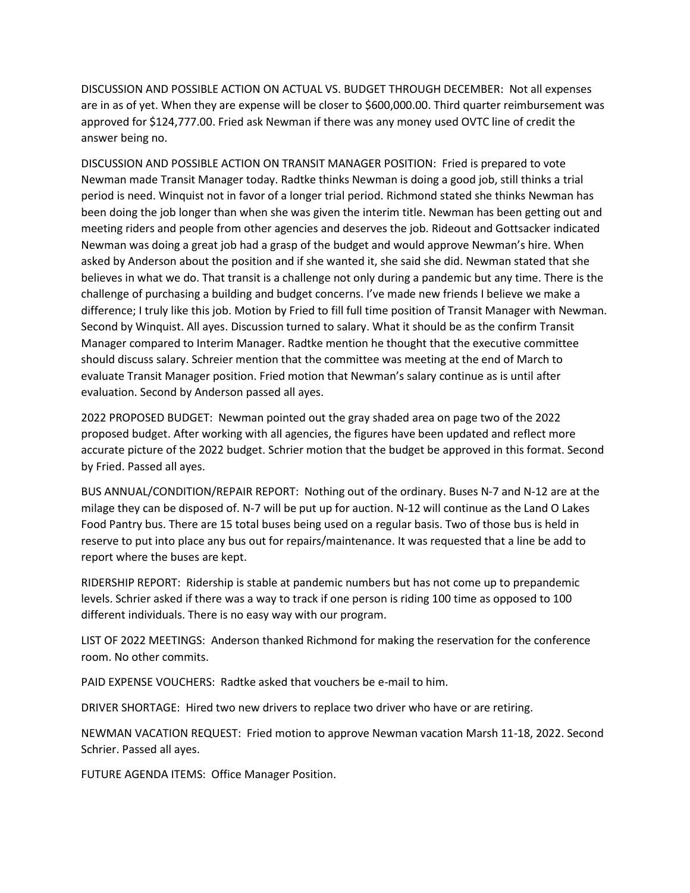DISCUSSION AND POSSIBLE ACTION ON ACTUAL VS. BUDGET THROUGH DECEMBER: Not all expenses are in as of yet. When they are expense will be closer to \$600,000.00. Third quarter reimbursement was approved for \$124,777.00. Fried ask Newman if there was any money used OVTC line of credit the answer being no.

DISCUSSION AND POSSIBLE ACTION ON TRANSIT MANAGER POSITION: Fried is prepared to vote Newman made Transit Manager today. Radtke thinks Newman is doing a good job, still thinks a trial period is need. Winquist not in favor of a longer trial period. Richmond stated she thinks Newman has been doing the job longer than when she was given the interim title. Newman has been getting out and meeting riders and people from other agencies and deserves the job. Rideout and Gottsacker indicated Newman was doing a great job had a grasp of the budget and would approve Newman's hire. When asked by Anderson about the position and if she wanted it, she said she did. Newman stated that she believes in what we do. That transit is a challenge not only during a pandemic but any time. There is the challenge of purchasing a building and budget concerns. I've made new friends I believe we make a difference; I truly like this job. Motion by Fried to fill full time position of Transit Manager with Newman. Second by Winquist. All ayes. Discussion turned to salary. What it should be as the confirm Transit Manager compared to Interim Manager. Radtke mention he thought that the executive committee should discuss salary. Schreier mention that the committee was meeting at the end of March to evaluate Transit Manager position. Fried motion that Newman's salary continue as is until after evaluation. Second by Anderson passed all ayes.

2022 PROPOSED BUDGET: Newman pointed out the gray shaded area on page two of the 2022 proposed budget. After working with all agencies, the figures have been updated and reflect more accurate picture of the 2022 budget. Schrier motion that the budget be approved in this format. Second by Fried. Passed all ayes.

BUS ANNUAL/CONDITION/REPAIR REPORT: Nothing out of the ordinary. Buses N-7 and N-12 are at the milage they can be disposed of. N-7 will be put up for auction. N-12 will continue as the Land O Lakes Food Pantry bus. There are 15 total buses being used on a regular basis. Two of those bus is held in reserve to put into place any bus out for repairs/maintenance. It was requested that a line be add to report where the buses are kept.

RIDERSHIP REPORT: Ridership is stable at pandemic numbers but has not come up to prepandemic levels. Schrier asked if there was a way to track if one person is riding 100 time as opposed to 100 different individuals. There is no easy way with our program.

LIST OF 2022 MEETINGS: Anderson thanked Richmond for making the reservation for the conference room. No other commits.

PAID EXPENSE VOUCHERS: Radtke asked that vouchers be e-mail to him.

DRIVER SHORTAGE: Hired two new drivers to replace two driver who have or are retiring.

NEWMAN VACATION REQUEST: Fried motion to approve Newman vacation Marsh 11-18, 2022. Second Schrier. Passed all ayes.

FUTURE AGENDA ITEMS: Office Manager Position.